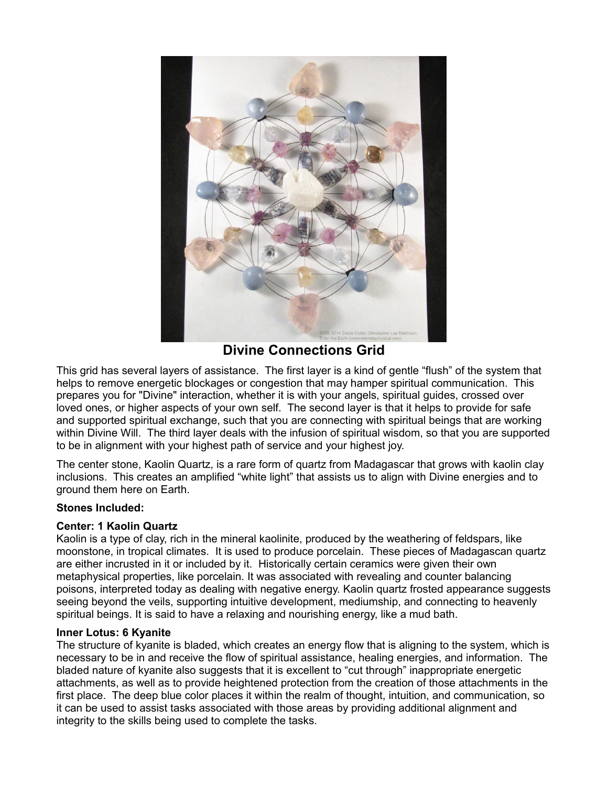

**Divine Connections Grid**

This grid has several layers of assistance. The first layer is a kind of gentle "flush" of the system that helps to remove energetic blockages or congestion that may hamper spiritual communication. This prepares you for "Divine" interaction, whether it is with your angels, spiritual guides, crossed over loved ones, or higher aspects of your own self. The second layer is that it helps to provide for safe and supported spiritual exchange, such that you are connecting with spiritual beings that are working within Divine Will. The third layer deals with the infusion of spiritual wisdom, so that you are supported to be in alignment with your highest path of service and your highest joy.

The center stone, Kaolin Quartz, is a rare form of quartz from Madagascar that grows with kaolin clay inclusions. This creates an amplified "white light" that assists us to align with Divine energies and to ground them here on Earth.

# **Stones Included:**

# **Center: 1 Kaolin Quartz**

Kaolin is a type of clay, rich in the mineral kaolinite, produced by the weathering of feldspars, like moonstone, in tropical climates. It is used to produce porcelain. These pieces of Madagascan quartz are either incrusted in it or included by it. Historically certain ceramics were given their own metaphysical properties, like porcelain. It was associated with revealing and counter balancing poisons, interpreted today as dealing with negative energy. Kaolin quartz frosted appearance suggests seeing beyond the veils, supporting intuitive development, mediumship, and connecting to heavenly spiritual beings. It is said to have a relaxing and nourishing energy, like a mud bath.

# **Inner Lotus: 6 Kyanite**

The structure of kyanite is bladed, which creates an energy flow that is aligning to the system, which is necessary to be in and receive the flow of spiritual assistance, healing energies, and information. The bladed nature of kyanite also suggests that it is excellent to "cut through" inappropriate energetic attachments, as well as to provide heightened protection from the creation of those attachments in the first place. The deep blue color places it within the realm of thought, intuition, and communication, so it can be used to assist tasks associated with those areas by providing additional alignment and integrity to the skills being used to complete the tasks.